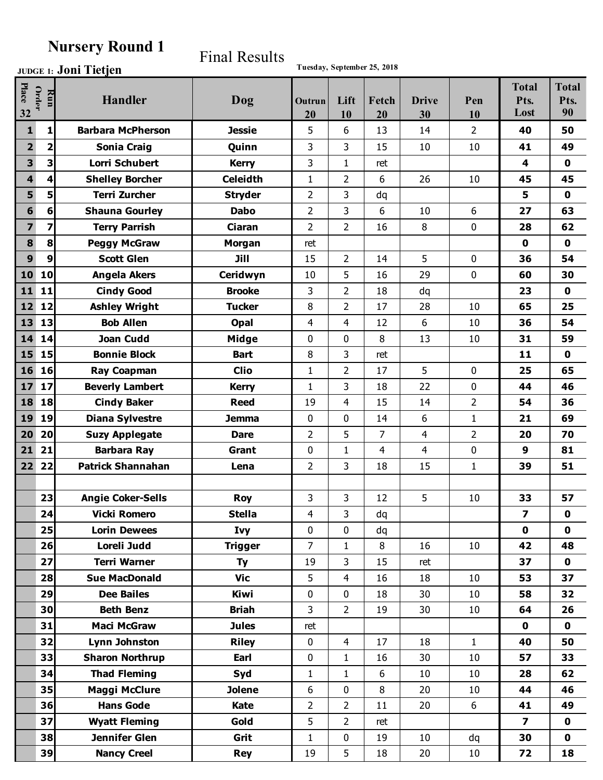## **Nursery Round 1**

## Final Results

**Joni Tietjen Tuesday, September 25, 2018 JUDGE 1:**

|                         |                  |                          |                 |                |                |                |                |                | <b>Total</b>            | <b>Total</b> |
|-------------------------|------------------|--------------------------|-----------------|----------------|----------------|----------------|----------------|----------------|-------------------------|--------------|
| Place                   | Order<br>Run     | <b>Handler</b>           | Dog             | Outrun         | Lift           | Fetch          | <b>Drive</b>   | Pen            | Pts.                    | Pts.         |
| 32                      |                  |                          |                 | 20             | 10             | 20             | 30             | 10             | Lost                    | 90           |
| $\mathbf{1}$            | 1                | <b>Barbara McPherson</b> | <b>Jessie</b>   | 5              | 6              | 13             | 14             | 2              | 40                      | 50           |
| $\overline{2}$          | $\mathbf 2$      | <b>Sonia Craig</b>       | Quinn           | 3              | 3              | 15             | 10             | 10             | 41                      | 49           |
| $\overline{\mathbf{3}}$ | 3                | <b>Lorri Schubert</b>    | <b>Kerry</b>    | 3              | 1              | ret            |                |                | $\overline{\mathbf{4}}$ | $\mathbf 0$  |
| $\overline{\mathbf{4}}$ | 4                | <b>Shelley Borcher</b>   | <b>Celeidth</b> | 1              | $\overline{2}$ | 6              | 26             | 10             | 45                      | 45           |
| 5                       | 5                | <b>Terri Zurcher</b>     | <b>Stryder</b>  | $\overline{2}$ | 3              | dq             |                |                | 5                       | $\mathbf 0$  |
| 6                       | 6                | <b>Shauna Gourley</b>    | <b>Dabo</b>     | $\overline{2}$ | 3              | 6              | 10             | 6              | 27                      | 63           |
| $\overline{\mathbf{z}}$ | 7                | <b>Terry Parrish</b>     | Ciaran          | 2              | $\overline{2}$ | 16             | 8              | $\mathbf 0$    | 28                      | 62           |
| 8                       | 8                | <b>Peggy McGraw</b>      | <b>Morgan</b>   | ret            |                |                |                |                | $\mathbf 0$             | $\mathbf 0$  |
| $\boldsymbol{9}$        | $\boldsymbol{9}$ | <b>Scott Glen</b>        | Jill            | 15             | $\overline{2}$ | 14             | 5              | $\mathbf 0$    | 36                      | 54           |
| 10                      | 10               | <b>Angela Akers</b>      | Ceridwyn        | 10             | 5              | 16             | 29             | $\mathbf 0$    | 60                      | 30           |
| 11                      | 11               | <b>Cindy Good</b>        | <b>Brooke</b>   | 3              | 2              | 18             | dq             |                | 23                      | $\mathbf 0$  |
| 12                      | 12               | <b>Ashley Wright</b>     | <b>Tucker</b>   | 8              | 2              | 17             | 28             | 10             | 65                      | 25           |
| 13                      | 13               | <b>Bob Allen</b>         | Opal            | 4              | 4              | 12             | 6              | 10             | 36                      | 54           |
| 14                      | 14               | <b>Joan Cudd</b>         | Midge           | 0              | 0              | 8              | 13             | 10             | 31                      | 59           |
| 15                      | 15               | <b>Bonnie Block</b>      | <b>Bart</b>     | 8              | 3              | ret            |                |                | 11                      | $\mathbf 0$  |
| 16                      | 16               | <b>Ray Coapman</b>       | <b>Clio</b>     | $\mathbf{1}$   | $\overline{2}$ | 17             | 5              | $\mathbf 0$    | 25                      | 65           |
| 17                      | 17               | <b>Beverly Lambert</b>   | <b>Kerry</b>    | 1              | 3              | 18             | 22             | $\mathbf 0$    | 44                      | 46           |
| 18                      | 18               | <b>Cindy Baker</b>       | <b>Reed</b>     | 19             | 4              | 15             | 14             | $\overline{2}$ | 54                      | 36           |
| 19                      | 19               | <b>Diana Sylvestre</b>   | <b>Jemma</b>    | $\mathbf 0$    | 0              | 14             | 6              | $\mathbf{1}$   | 21                      | 69           |
| 20                      | 20               | <b>Suzy Applegate</b>    | <b>Dare</b>     | $\overline{2}$ | 5              | $\overline{7}$ | $\overline{4}$ | $\overline{2}$ | 20                      | 70           |
| 21                      | 21               | <b>Barbara Ray</b>       | Grant           | 0              | 1              | 4              | $\overline{4}$ | $\mathbf 0$    | $\boldsymbol{9}$        | 81           |
| 22                      | 22               | <b>Patrick Shannahan</b> | Lena            | $\overline{2}$ | 3              | 18             | 15             | $\mathbf{1}$   | 39                      | 51           |
|                         |                  |                          |                 |                |                |                |                |                |                         |              |
|                         | 23               | <b>Angie Coker-Sells</b> | <b>Roy</b>      | 3              | 3              | 12             | 5              | 10             | 33                      | 57           |
|                         | 24               | <b>Vicki Romero</b>      | <b>Stella</b>   | 4              | 3              | dq             |                |                | 7                       | $\mathbf 0$  |
|                         | 25               | <b>Lorin Dewees</b>      | <b>Ivy</b>      | 0              | $\Omega$       | dq             |                |                | $\mathbf 0$             | $\mathbf 0$  |
|                         | 26               | Loreli Judd              | <b>Trigger</b>  | $\overline{7}$ | $\mathbf{1}$   | 8              | 16             | 10             | 42                      | 48           |
|                         | 27               | <b>Terri Warner</b>      | <b>Ty</b>       | 19             | 3              | 15             | ret            |                | 37                      | $\mathbf 0$  |
|                         | 28               | <b>Sue MacDonald</b>     | <b>Vic</b>      | 5              | $\overline{4}$ | 16             | 18             | 10             | 53                      | 37           |
|                         | 29               | <b>Dee Bailes</b>        | Kiwi            | $\mathbf 0$    | $\mathbf 0$    | 18             | 30             | 10             | 58                      | 32           |
|                         | 30               | <b>Beth Benz</b>         | <b>Briah</b>    | $\overline{3}$ | $\overline{2}$ | 19             | 30             | 10             | 64                      | 26           |
|                         | 31               | <b>Maci McGraw</b>       | <b>Jules</b>    | ret            |                |                |                |                | $\mathbf 0$             | $\mathbf 0$  |
|                         | 32               | Lynn Johnston            | <b>Riley</b>    | $\mathbf 0$    | $\overline{4}$ | 17             | 18             | $\mathbf{1}$   | 40                      | 50           |
|                         | 33               | <b>Sharon Northrup</b>   | Earl            | 0              | $\mathbf{1}$   | 16             | 30             | 10             | 57                      | 33           |
|                         | 34               | <b>Thad Fleming</b>      | Syd             | $\mathbf{1}$   | $\mathbf{1}$   | 6              | 10             | 10             | 28                      | 62           |
|                         | 35               | <b>Maggi McClure</b>     | <b>Jolene</b>   | 6              | $\mathbf 0$    | 8              | 20             | 10             | 44                      | 46           |
|                         | 36               | <b>Hans Gode</b>         | Kate            | $\overline{2}$ | $\overline{2}$ | 11             | 20             | 6              | 41                      | 49           |
|                         | 37               | <b>Wyatt Fleming</b>     | Gold            | 5              | $\overline{2}$ | ret            |                |                | $\overline{\mathbf{z}}$ | $\mathbf 0$  |
|                         | 38               | Jennifer Glen            | Grit            | $\mathbf{1}$   | $\mathbf 0$    | 19             | 10             | dq             | 30                      | $\mathbf 0$  |
|                         | 39               | <b>Nancy Creel</b>       | <b>Rey</b>      | 19             | 5              | 18             | 20             | 10             | 72                      | 18           |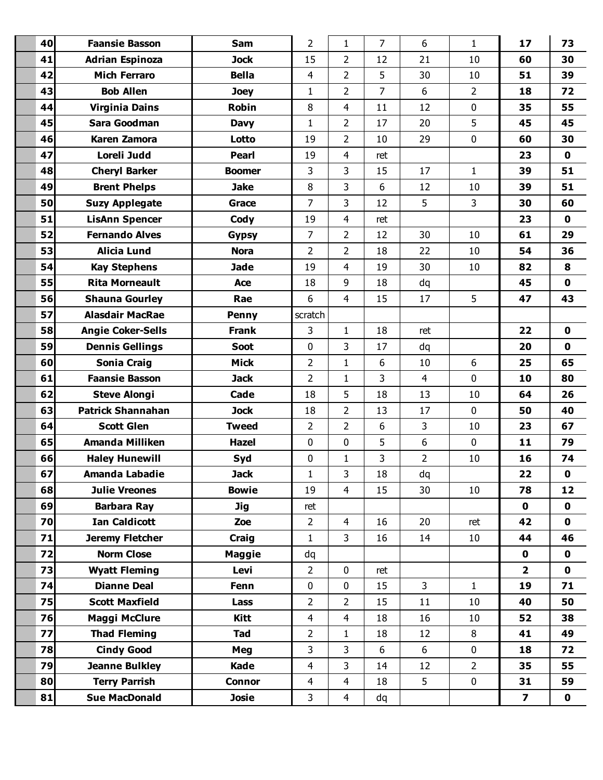| 40 | <b>Faansie Basson</b>    | Sam           | $\overline{2}$ | $\mathbf{1}$            | $\overline{7}$ | 6              | $\mathbf{1}$   | 17                      | 73          |
|----|--------------------------|---------------|----------------|-------------------------|----------------|----------------|----------------|-------------------------|-------------|
| 41 | <b>Adrian Espinoza</b>   | <b>Jock</b>   | 15             | $\overline{2}$          | 12             | 21             | 10             | 60                      | 30          |
| 42 | <b>Mich Ferraro</b>      | <b>Bella</b>  | 4              | $\overline{2}$          | 5              | 30             | 10             | 51                      | 39          |
| 43 | <b>Bob Allen</b>         | <b>Joey</b>   | $\mathbf{1}$   | $\overline{2}$          | $\overline{7}$ | 6              | $\overline{2}$ | 18                      | 72          |
| 44 | <b>Virginia Dains</b>    | Robin         | 8              | 4                       | 11             | 12             | $\mathbf 0$    | 35                      | 55          |
| 45 | Sara Goodman             | <b>Davy</b>   | 1              | $\overline{2}$          | 17             | 20             | 5              | 45                      | 45          |
| 46 | <b>Karen Zamora</b>      | Lotto         | 19             | $\overline{2}$          | 10             | 29             | $\mathbf 0$    | 60                      | 30          |
| 47 | Loreli Judd              | <b>Pearl</b>  | 19             | 4                       | ret            |                |                | 23                      | $\mathbf 0$ |
| 48 | <b>Cheryl Barker</b>     | <b>Boomer</b> | 3              | 3                       | 15             | 17             | $\mathbf{1}$   | 39                      | 51          |
| 49 | <b>Brent Phelps</b>      | <b>Jake</b>   | 8              | 3                       | 6              | 12             | 10             | 39                      | 51          |
| 50 | <b>Suzy Applegate</b>    | Grace         | $\overline{7}$ | 3                       | 12             | 5              | $\mathbf{3}$   | 30                      | 60          |
| 51 | <b>LisAnn Spencer</b>    | Cody          | 19             | 4                       | ret            |                |                | 23                      | $\mathbf 0$ |
| 52 | <b>Fernando Alves</b>    | <b>Gypsy</b>  | 7              | $\overline{2}$          | 12             | 30             | 10             | 61                      | 29          |
| 53 | <b>Alicia Lund</b>       | <b>Nora</b>   | $\overline{2}$ | $\overline{2}$          | 18             | 22             | 10             | 54                      | 36          |
| 54 | <b>Kay Stephens</b>      | <b>Jade</b>   | 19             | 4                       | 19             | 30             | 10             | 82                      | 8           |
| 55 | <b>Rita Morneault</b>    | <b>Ace</b>    | 18             | 9                       | 18             | dq             |                | 45                      | $\mathbf 0$ |
| 56 | <b>Shauna Gourley</b>    | Rae           | 6              | $\overline{4}$          | 15             | 17             | 5              | 47                      | 43          |
| 57 | <b>Alasdair MacRae</b>   | <b>Penny</b>  | scratch        |                         |                |                |                |                         |             |
| 58 | <b>Angie Coker-Sells</b> | <b>Frank</b>  | 3              | 1                       | 18             | ret            |                | 22                      | $\mathbf 0$ |
| 59 | <b>Dennis Gellings</b>   | <b>Soot</b>   | $\mathbf 0$    | 3                       | 17             | dq             |                | 20                      | $\mathbf 0$ |
| 60 | <b>Sonia Craig</b>       | <b>Mick</b>   | $\overline{2}$ | $\mathbf{1}$            | 6              | 10             | 6              | 25                      | 65          |
| 61 | <b>Faansie Basson</b>    | <b>Jack</b>   | $\overline{2}$ | $\mathbf{1}$            | 3              | $\overline{4}$ | $\mathbf 0$    | 10                      | 80          |
| 62 | <b>Steve Alongi</b>      | Cade          | 18             | 5                       | 18             | 13             | 10             | 64                      | 26          |
| 63 | <b>Patrick Shannahan</b> | <b>Jock</b>   | 18             | $\overline{2}$          | 13             | 17             | $\mathbf 0$    | 50                      | 40          |
| 64 | <b>Scott Glen</b>        | <b>Tweed</b>  | $\overline{2}$ | $\overline{2}$          | 6              | 3              | 10             | 23                      | 67          |
| 65 | <b>Amanda Milliken</b>   | <b>Hazel</b>  | $\mathbf 0$    | 0                       | 5              | 6              | $\mathbf 0$    | 11                      | 79          |
| 66 | <b>Haley Hunewill</b>    | Syd           | 0              | $\mathbf{1}$            | 3              | $\overline{2}$ | 10             | 16                      | 74          |
| 67 | Amanda Labadie           | <b>Jack</b>   | $\mathbf 1$    | 3                       | 18             | dq             |                | 22                      | $\mathbf 0$ |
| 68 | <b>Julie Vreones</b>     | <b>Bowie</b>  | 19             | $\overline{4}$          | 15             | 30             | 10             | 78                      | 12          |
| 69 | <b>Barbara Ray</b>       | <b>Jig</b>    | ret            |                         |                |                |                | $\mathbf 0$             | $\mathbf 0$ |
| 70 | <b>Ian Caldicott</b>     | Zoe           | $\overline{2}$ | $\overline{4}$          | 16             | 20             | ret            | 42                      | $\mathbf 0$ |
| 71 | Jeremy Fletcher          | Craig         | $\mathbf{1}$   | 3                       | 16             | 14             | 10             | 44                      | 46          |
| 72 | <b>Norm Close</b>        | <b>Maggie</b> | dq             |                         |                |                |                | $\mathbf 0$             | $\mathbf 0$ |
| 73 | <b>Wyatt Fleming</b>     | Levi          | $\overline{2}$ | 0                       | ret            |                |                | $\mathbf{2}$            | $\mathbf 0$ |
| 74 | <b>Dianne Deal</b>       | Fenn          | $\mathbf 0$    | $\mathbf 0$             | 15             | $\mathbf{3}$   | $\mathbf{1}$   | 19                      | 71          |
| 75 | <b>Scott Maxfield</b>    | Lass          | $\overline{2}$ | $\overline{2}$          | 15             | 11             | 10             | 40                      | 50          |
| 76 | Maggi McClure            | Kitt          | $\overline{4}$ | $\overline{4}$          | 18             | 16             | 10             | 52                      | 38          |
| 77 | <b>Thad Fleming</b>      | <b>Tad</b>    | $\overline{2}$ | $\mathbf{1}$            | 18             | 12             | 8              | 41                      | 49          |
| 78 | <b>Cindy Good</b>        | Meg           | 3              | 3                       | 6              | 6              | 0              | 18                      | 72          |
| 79 | <b>Jeanne Bulkley</b>    | Kade          | $\overline{4}$ | 3                       | 14             | 12             | $\overline{2}$ | 35                      | 55          |
| 80 | <b>Terry Parrish</b>     | <b>Connor</b> | $\overline{4}$ | $\overline{\mathbf{4}}$ | 18             | 5              | $\mathbf 0$    | 31                      | 59          |
| 81 | <b>Sue MacDonald</b>     | <b>Josie</b>  | 3              | $\overline{4}$          | dq             |                |                | $\overline{\mathbf{z}}$ | $\mathbf 0$ |
|    |                          |               |                |                         |                |                |                |                         |             |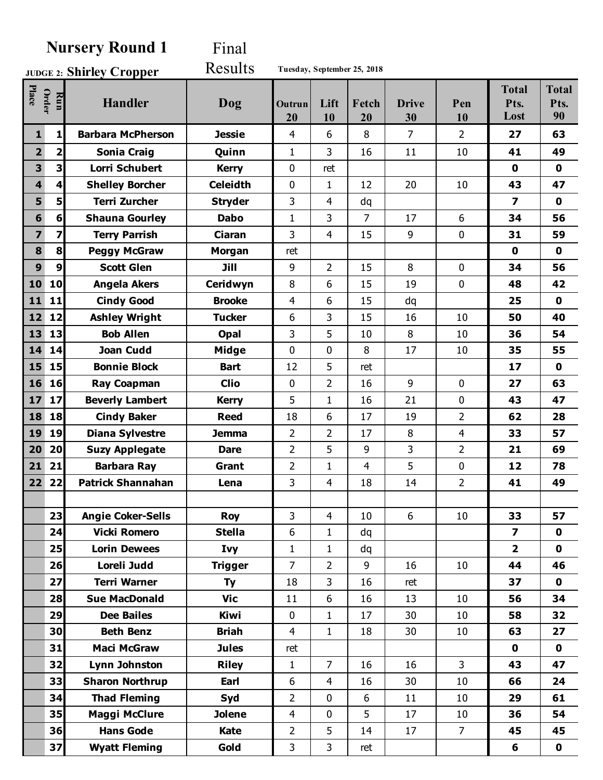## **Nursery Round 1** Final

**Shirley Cropper JUDGE 2:** Results **Tuesday, September 25, 2018**

| Place                   | <b>Order</b><br>Run     | <b>Handler</b>           | Dog             | Outrun<br>20   | Lift<br>10     | Fetch<br>20 | <b>Drive</b><br>30 | Pen<br>10      | <b>Total</b><br>Pts.<br>Lost | <b>Total</b><br>Pts.<br>90 |
|-------------------------|-------------------------|--------------------------|-----------------|----------------|----------------|-------------|--------------------|----------------|------------------------------|----------------------------|
| $\mathbf{1}$            | 1                       | <b>Barbara McPherson</b> | <b>Jessie</b>   | 4              | 6              | 8           | 7                  | 2              | 27                           | 63                         |
| $\overline{\mathbf{2}}$ | 2                       | <b>Sonia Craig</b>       | Quinn           | $\mathbf{1}$   | 3              | 16          | 11                 | 10             | 41                           | 49                         |
| 3                       | $\overline{\mathbf{3}}$ | <b>Lorri Schubert</b>    | <b>Kerry</b>    | 0              | ret            |             |                    |                | $\mathbf 0$                  | 0                          |
| $\overline{\mathbf{4}}$ | 4                       | <b>Shelley Borcher</b>   | <b>Celeidth</b> | $\mathbf 0$    | $\mathbf{1}$   | 12          | 20                 | 10             | 43                           | 47                         |
| 5                       | 5                       | <b>Terri Zurcher</b>     | <b>Stryder</b>  | 3              | $\overline{4}$ | dq          |                    |                | $\overline{\mathbf{z}}$      | $\mathbf 0$                |
| 6                       | $6\phantom{1}$          | <b>Shauna Gourley</b>    | <b>Dabo</b>     | $\mathbf{1}$   | 3              | 7           | 17                 | 6              | 34                           | 56                         |
| 7                       | 7                       | <b>Terry Parrish</b>     | <b>Ciaran</b>   | 3              | $\overline{4}$ | 15          | 9                  | $\mathbf 0$    | 31                           | 59                         |
| 8                       | 8                       | <b>Peggy McGraw</b>      | <b>Morgan</b>   | ret            |                |             |                    |                | 0                            | $\mathbf 0$                |
| 9                       | 9                       | <b>Scott Glen</b>        | Jill            | 9              | $\overline{2}$ | 15          | 8                  | $\mathbf 0$    | 34                           | 56                         |
| 10                      | 10                      | <b>Angela Akers</b>      | Ceridwyn        | 8              | 6              | 15          | 19                 | $\mathbf 0$    | 48                           | 42                         |
| 11                      | 11                      | <b>Cindy Good</b>        | <b>Brooke</b>   | 4              | 6              | 15          | dq                 |                | 25                           | $\mathbf 0$                |
| 12                      | 12                      | <b>Ashley Wright</b>     | <b>Tucker</b>   | 6              | 3              | 15          | 16                 | 10             | 50                           | 40                         |
| 13                      | 13                      | <b>Bob Allen</b>         | Opal            | 3              | 5              | 10          | 8                  | 10             | 36                           | 54                         |
| 14                      | 14                      | <b>Joan Cudd</b>         | <b>Midge</b>    | $\mathbf 0$    | $\mathbf 0$    | 8           | 17                 | 10             | 35                           | 55                         |
| 15                      | 15                      | <b>Bonnie Block</b>      | <b>Bart</b>     | 12             | 5              | ret         |                    |                | 17                           | $\mathbf 0$                |
| 16                      | 16                      | <b>Ray Coapman</b>       | <b>Clio</b>     | $\mathbf 0$    | $\overline{2}$ | 16          | 9                  | $\mathbf 0$    | 27                           | 63                         |
| 17                      | 17                      | <b>Beverly Lambert</b>   | <b>Kerry</b>    | 5              | $\mathbf{1}$   | 16          | 21                 | $\mathbf 0$    | 43                           | 47                         |
| 18                      | 18                      | <b>Cindy Baker</b>       | <b>Reed</b>     | 18             | 6              | 17          | 19                 | $\overline{2}$ | 62                           | 28                         |
| 19                      | 19                      | <b>Diana Sylvestre</b>   | <b>Jemma</b>    | $\overline{2}$ | $\overline{2}$ | 17          | 8                  | $\overline{4}$ | 33                           | 57                         |
| 20                      | 20                      | <b>Suzy Applegate</b>    | <b>Dare</b>     | $\overline{2}$ | 5              | 9           | 3                  | $\overline{2}$ | 21                           | 69                         |
| 21                      | 21                      | <b>Barbara Ray</b>       | Grant           | $\overline{2}$ | $\mathbf{1}$   | 4           | 5                  | $\mathbf 0$    | 12                           | 78                         |
| 22                      | 22                      | <b>Patrick Shannahan</b> | Lena            | 3              | 4              | 18          | 14                 | $\overline{2}$ | 41                           | 49                         |
|                         |                         |                          |                 |                |                |             |                    |                |                              |                            |
|                         | 23                      | <b>Angie Coker-Sells</b> | <b>Roy</b>      | 3              | 4              | 10          | 6                  | 10             | 33                           | 57                         |
|                         | 24                      | <b>Vicki Romero</b>      | <b>Stella</b>   | 6              | $\mathbf{1}$   | dq          |                    |                | $\overline{\mathbf{z}}$      | $\mathbf 0$                |
|                         | 25                      | <b>Lorin Dewees</b>      | Ivy             | $\mathbf{1}$   | $\mathbf{1}$   | dq          |                    |                | $\overline{\mathbf{2}}$      | $\mathbf 0$                |
|                         | 26                      | Loreli Judd              | <b>Trigger</b>  | $\overline{7}$ | $\overline{2}$ | 9           | 16                 | 10             | 44                           | 46                         |
|                         | 27                      | <b>Terri Warner</b>      | <b>Ty</b>       | 18             | 3              | 16          | ret                |                | 37                           | 0                          |
|                         | 28                      | <b>Sue MacDonald</b>     | <b>Vic</b>      | 11             | 6              | 16          | 13                 | 10             | 56                           | 34                         |
|                         | 29                      | <b>Dee Bailes</b>        | Kiwi            | $\mathbf 0$    | $\mathbf{1}$   | 17          | 30                 | 10             | 58                           | 32                         |
|                         | 30                      | <b>Beth Benz</b>         | <b>Briah</b>    | $\overline{4}$ | $\mathbf{1}$   | 18          | 30                 | 10             | 63                           | 27                         |
|                         | 31                      | <b>Maci McGraw</b>       | <b>Jules</b>    | ret            |                |             |                    |                | 0                            | $\mathbf 0$                |
|                         | 32                      | Lynn Johnston            | <b>Riley</b>    | $\mathbf{1}$   | $\overline{7}$ | 16          | 16                 | $\overline{3}$ | 43                           | 47                         |
|                         | 33                      | <b>Sharon Northrup</b>   | Earl            | 6              | $\overline{4}$ | 16          | 30                 | 10             | 66                           | 24                         |
|                         | 34                      | <b>Thad Fleming</b>      | Syd             | $\overline{2}$ | $\mathbf 0$    | 6           | 11                 | 10             | 29                           | 61                         |
|                         | 35                      | <b>Maggi McClure</b>     | <b>Jolene</b>   | $\overline{4}$ | $\mathbf 0$    | 5           | 17                 | 10             | 36                           | 54                         |
|                         | 36                      | <b>Hans Gode</b>         | Kate            | $\overline{2}$ | 5              | 14          | 17                 | $\overline{7}$ | 45                           | 45                         |
|                         | 37                      | <b>Wyatt Fleming</b>     | Gold            | 3              | 3              | ret         |                    |                | 6                            | $\mathbf 0$                |